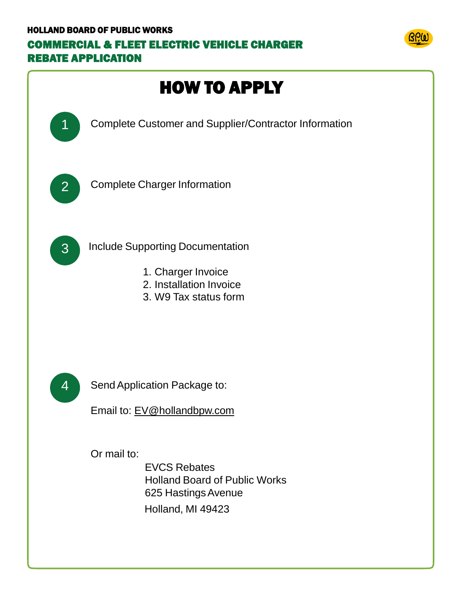## HOLLAND BOARD OF PUBLIC WORKS COMMERCIAL & FLEET ELECTRIC VEHICLE CHARGER REBATE APPLICATION



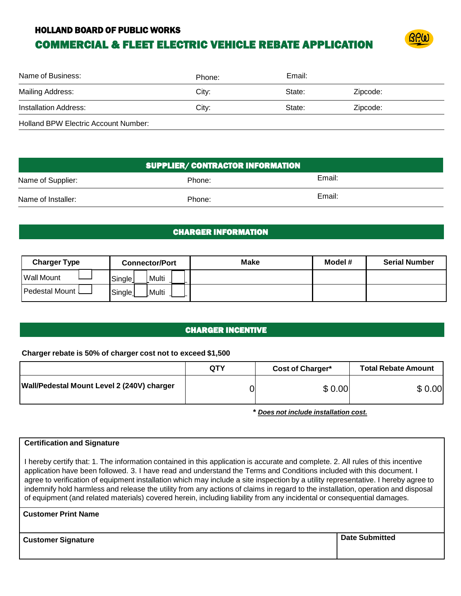#### HOLLAND BOARD OF PUBLIC WORKS

## COMMERCIAL & FLEET ELECTRIC VEHICLE REBATE APPLICATION



| Name of Business:                           | Phone: | Email: |          |
|---------------------------------------------|--------|--------|----------|
| Mailing Address:                            | City:  | State: | Zipcode: |
| Installation Address:                       | City:  | State: | Zipcode: |
| <b>Holland BPW Electric Account Number:</b> |        |        |          |

| <b>SUPPLIER/ CONTRACTOR INFORMATION</b> |        |        |  |  |
|-----------------------------------------|--------|--------|--|--|
| Name of Supplier:                       | Phone: | Email: |  |  |
| Name of Installer:                      | Phone: | Email: |  |  |

#### CHARGER INFORMATION

| <b>Charger Type</b>     | <b>Connector/Port</b>        | Make | Model # | <b>Serial Number</b> |
|-------------------------|------------------------------|------|---------|----------------------|
| Wall Mount              | Multi<br>Single              |      |         |                      |
| <b>Pedestal Mount L</b> | Single <sub>1</sub><br>Multi |      |         |                      |

#### CHARGER INCENTIVE

#### **Charger rebate is 50% of charger cost not to exceed \$1,500**

|                                            | QTY | Cost of Charger* | <b>Total Rebate Amount</b> |
|--------------------------------------------|-----|------------------|----------------------------|
| Wall/Pedestal Mount Level 2 (240V) charger |     | \$0.00           | \$ 0.00                    |

**\*** *Does not include installation cost.*

#### **Certification and Signature**

I hereby certify that: 1. The information contained in this application is accurate and complete. 2. All rules of this incentive application have been followed. 3. I have read and understand the Terms and Conditions included with this document. I agree to verification of equipment installation which may include a site inspection by a utility representative. I hereby agree to indemnify hold harmless and release the utility from any actions of claims in regard to the installation, operation and disposal of equipment (and related materials) covered herein, including liability from any incidental or consequential damages.

#### **Customer Print Name**

**Customer Signature Date Submitted**